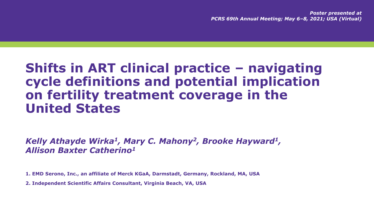*Poster presented at PCRS 69th Annual Meeting; May 6–8, 2021; USA (Virtual)*

# **Shifts in ART clinical practice – navigating cycle definitions and potential implication on fertility treatment coverage in the United States**

*Kelly Athayde Wirka<sup>1</sup>, Mary C. Mahony<sup>2</sup>, Brooke Hayward<sup>1</sup> , Allison Baxter Catherino<sup>1</sup>*

**1. EMD Serono, Inc., an affiliate of Merck KGaA, Darmstadt, Germany, Rockland, MA, USA**

**2. Independent Scientific Affairs Consultant, Virginia Beach, VA, USA**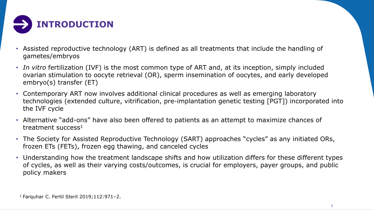

- Assisted reproductive technology (ART) is defined as all treatments that include the handling of gametes/embryos
- *In vitro* fertilization (IVF) is the most common type of ART and, at its inception, simply included ovarian stimulation to oocyte retrieval (OR), sperm insemination of oocytes, and early developed embryo(s) transfer (ET)
- Contemporary ART now involves additional clinical procedures as well as emerging laboratory technologies (extended culture, vitrification, pre-implantation genetic testing [PGT]) incorporated into the IVF cycle
- Alternative "add-ons" have also been offered to patients as an attempt to maximize chances of treatment success<sup>1</sup>
- The Society for Assisted Reproductive Technology (SART) approaches "cycles" as any initiated ORs, frozen ETs (FETs), frozen egg thawing, and canceled cycles
- Understanding how the treatment landscape shifts and how utilization differs for these different types of cycles, as well as their varying costs/outcomes, is crucial for employers, payer groups, and public policy makers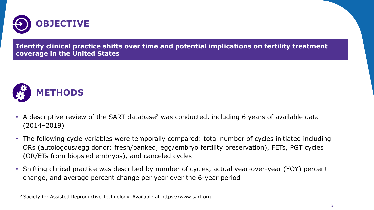

**Identify clinical practice shifts over time and potential implications on fertility treatment coverage in the United States**



- A descriptive review of the SART database<sup>2</sup> was conducted, including 6 years of available data (2014–2019)
- The following cycle variables were temporally compared: total number of cycles initiated including ORs (autologous/egg donor: fresh/banked, egg/embryo fertility preservation), FETs, PGT cycles (OR/ETs from biopsied embryos), and canceled cycles
- Shifting clinical practice was described by number of cycles, actual year-over-year (YOY) percent change, and average percent change per year over the 6-year period

<sup>2</sup> Society for Assisted Reproductive Technology. Available at [https://www.sart.org](https://www.sart.org/).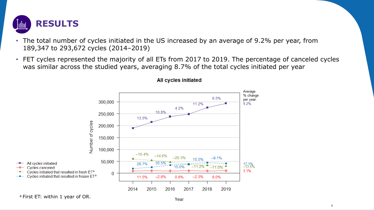

- The total number of cycles initiated in the US increased by an average of 9.2% per year, from 189,347 to 293,672 cycles (2014–2019)
- FET cycles represented the majority of all ETs from 2017 to 2019. The percentage of canceled cycles was similar across the studied years, averaging 8.7% of the total cycles initiated per year



#### **All cycles initiated**

a First ET: within 1 year of OR.

بالمقابل

- - 0-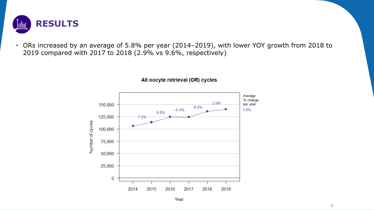

• ORs increased by an average of 5.8% per year (2014–2019), with lower YOY growth from 2018 to 2019 compared with 2017 to 2018 (2.9% vs 9.6%, respectively)



#### All oocyte retrieval (OR) cycles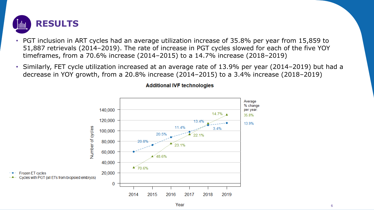

- PGT inclusion in ART cycles had an average utilization increase of 35.8% per year from 15,859 to 51,887 retrievals (2014–2019). The rate of increase in PGT cycles slowed for each of the five YOY timeframes, from a 70.6% increase (2014–2015) to a 14.7% increase (2018–2019)
- Similarly, FET cycle utilization increased at an average rate of 13.9% per year (2014–2019) but had a decrease in YOY growth, from a 20.8% increase (2014–2015) to a 3.4% increase (2018–2019)



#### **Additional IVF technologies**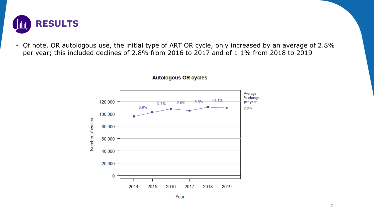

• Of note, OR autologous use, the initial type of ART OR cycle, only increased by an average of 2.8% per year; this included declines of 2.8% from 2016 to 2017 and of 1.1% from 2018 to 2019



**Autologous OR cycles** 

```
Year
```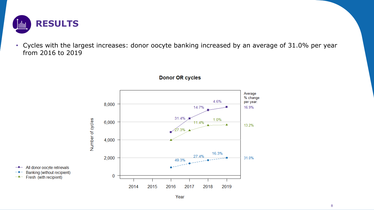

• Cycles with the largest increases: donor oocyte banking increased by an average of 31.0% per year from 2016 to 2019



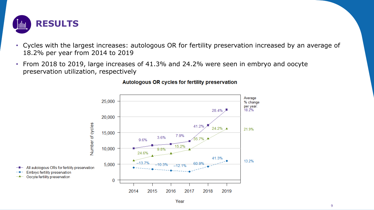

 $-$  -0-

بتهيب

- Cycles with the largest increases: autologous OR for fertility preservation increased by an average of 18.2% per year from 2014 to 2019
- From 2018 to 2019, large increases of 41.3% and 24.2% were seen in embryo and oocyte preservation utilization, respectively



#### Autologous OR cycles for fertility preservation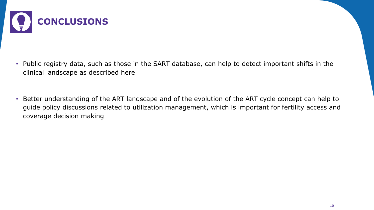

- Public registry data, such as those in the SART database, can help to detect important shifts in the clinical landscape as described here
- Better understanding of the ART landscape and of the evolution of the ART cycle concept can help to guide policy discussions related to utilization management, which is important for fertility access and coverage decision making